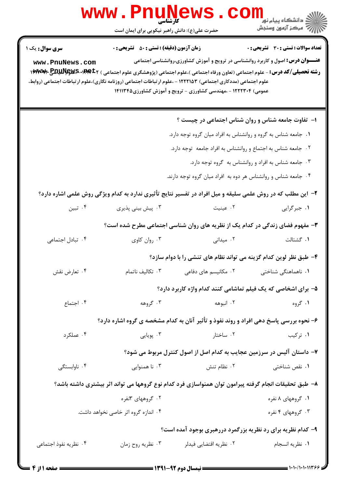|                                    | www.PnuNews                                                                                                                                                                                                                                                                                                      |                                                                                                                                                            |                                                      |  |  |
|------------------------------------|------------------------------------------------------------------------------------------------------------------------------------------------------------------------------------------------------------------------------------------------------------------------------------------------------------------|------------------------------------------------------------------------------------------------------------------------------------------------------------|------------------------------------------------------|--|--|
|                                    | حضرت علی(ع): دانش راهبر نیکویی برای ایمان است                                                                                                                                                                                                                                                                    |                                                                                                                                                            | ڪ دانشڪاه پيام نور<br>//<br>// مرڪز آزمون وسنڊش      |  |  |
| سری سوال : یک ۱<br>www.PnuNews.com | <b>زمان آزمون (دقیقه) : تستی : 50 ٪ تشریحی : 0</b><br><b>رشته تحصیلی/کد درس:</b> - علوم اجتماعی (تعاون ورفاه اجتماعی )،علوم اجتماعی (پژوهشگری علوم اجتماعی ) <b>۱۳۱۴۰۶-۳۶۷۴۶ (۱۳۱۳۴۰ ۱۳۷۳۳۴</b><br>علوم اجتماعی (مددکاری اجتماعی) ۱۲۲۲۱۵۳ - ،علوم ارتباطات اجتماعی (روزنامه نگاری)،علوم ارتباطات اجتماعی (روابط، | <b>عنـــوان درس:</b> اصول و کاربرد روانشناسی در ترویج و آموزش کشاورزی،روانشناسی اجتماعی<br>عمومی) ۱۲۲۲۳۰۴ - ،مهندسی کشاورزی - ترویج و آموزش کشاورزی۱۴۱۱۳۴۵ | <b>تعداد سوالات : تستی : 30 ٪ تشریحی : 0</b>         |  |  |
|                                    |                                                                                                                                                                                                                                                                                                                  | ۱- تفاوت جامعه شناس و روان شناس اجتماعی در چیست ؟                                                                                                          |                                                      |  |  |
|                                    |                                                                                                                                                                                                                                                                                                                  | ۰۱ جامعه شناس به گروه و روانشناس به افراد میان گروه توجه دارد.                                                                                             |                                                      |  |  |
|                                    | ۰۲ جامعه شناس به اجتماع و روانشناس به افراد جامعه توجه دارد.                                                                                                                                                                                                                                                     |                                                                                                                                                            |                                                      |  |  |
|                                    |                                                                                                                                                                                                                                                                                                                  |                                                                                                                                                            | ۰۳ جامعه شناس به افراد و روانشناس به گروه توجه دارد. |  |  |
|                                    |                                                                                                                                                                                                                                                                                                                  | ۰۴ جامعه شناس و روانشناس هر دوه به افراد میان گروه توجه دارند.                                                                                             |                                                      |  |  |
|                                    | ۲- این مطلب که در روش علمی سلیقه و میل افراد در تفسیر نتایج تأثیری ندارد به کدام ویژگی روش علمی اشاره دارد؟                                                                                                                                                                                                      |                                                                                                                                                            |                                                      |  |  |
| ۰۴ تبين                            | ۰۳ پیش بینی پذیری                                                                                                                                                                                                                                                                                                | ۰۲ عینیت                                                                                                                                                   | ١. جبرگرايي                                          |  |  |
|                                    | ۳- مفهوم فضای زندگی در کدام یک از نظریه های روان شناسی اجتماعی مطرح شده است؟                                                                                                                                                                                                                                     |                                                                                                                                                            |                                                      |  |  |
| ۰۴ تبادل اجتماعی                   | ۰۳ روان کاوی                                                                                                                                                                                                                                                                                                     | ۰۲ میدانی                                                                                                                                                  | ٠١ گشتالت                                            |  |  |
|                                    |                                                                                                                                                                                                                                                                                                                  | ۴- طبق نظر لوین کدام گزینه می تواند نظام های تنشی را با دوام سازد؟                                                                                         |                                                      |  |  |
| ۰۴ تعارض نقش                       | ۰۳ تکالیف ناتمام                                                                                                                                                                                                                                                                                                 | ۰۲ مکانیسم های دفاعی                                                                                                                                       | ۰۱ ناهماهنگی شناختی                                  |  |  |
|                                    |                                                                                                                                                                                                                                                                                                                  | ۵– برای اشخاصی که یک فیلم تماشامی کنند کدام واژه کاربرد دارد؟                                                                                              |                                                      |  |  |
| ۰۴ اجتماع                          | ۰۳ گروهه                                                                                                                                                                                                                                                                                                         | ۰۲ انبوهه                                                                                                                                                  | ۰۱ گروه                                              |  |  |
|                                    | ۶- نحوه بررسی پاسخ دهی افراد و روند نفوذ و تأثیر آنان به کدام مشخصه ی گروه اشاره دارد؟                                                                                                                                                                                                                           |                                                                                                                                                            |                                                      |  |  |
| ۰۴ عملکرد                          | ۰۳ پويايي                                                                                                                                                                                                                                                                                                        | ۰۲ ساختار                                                                                                                                                  | ۰۱ ترکیب                                             |  |  |
|                                    |                                                                                                                                                                                                                                                                                                                  | ۷– داستان آلیس در سرزمین عجایب به کدام اصل از اصول کنترل مربوط می شود؟                                                                                     |                                                      |  |  |
| ۰۴ ناوابستگی                       | ۰۳ نا همنوایی                                                                                                                                                                                                                                                                                                    | ۰۲ نظام تنش                                                                                                                                                | ۰۱ نقص شناختی                                        |  |  |
|                                    | ۸– طبق تحقیقات انجام گرفته پیرامون توان همنواسازی فرد کدام نوع گروهها می تواند اثر بیشتری داشته باشد؟                                                                                                                                                                                                            |                                                                                                                                                            |                                                      |  |  |
|                                    | ۰۲ گروههای ۳نفره                                                                                                                                                                                                                                                                                                 |                                                                                                                                                            | ۰۱ گروههای ۸ نفره                                    |  |  |
|                                    | ۰۴ اندازه گروه اثر خاصی نخواهد داشت.                                                                                                                                                                                                                                                                             |                                                                                                                                                            | ۰۳ گروههای ۴ نفره                                    |  |  |
|                                    |                                                                                                                                                                                                                                                                                                                  | ۹- کدام نظریه برای رد نظریه بزرگمرد دررهبری بوجود آمده است؟                                                                                                |                                                      |  |  |
| ۰۴ نظریه نفوذ اجتماعی              | ۰۳ نظريه روح زمان                                                                                                                                                                                                                                                                                                | ۰۲ نظریه اقتضایی فیدلر                                                                                                                                     | ٠١ نظريه انسجام                                      |  |  |
|                                    |                                                                                                                                                                                                                                                                                                                  |                                                                                                                                                            |                                                      |  |  |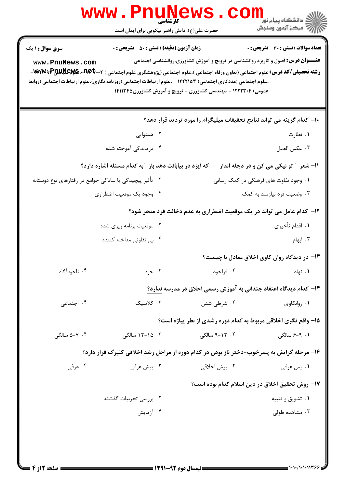|                                                         | <b>WWW.FILUNE</b><br>حضرت علی(ع): دانش راهبر نیکویی برای ایمان است                                                                                                                                                                                                                                                      |                                       | ر دانشڪاه پيام نور <mark>− ا</mark><br>// مرکز آزمون وسنڊش                              |
|---------------------------------------------------------|-------------------------------------------------------------------------------------------------------------------------------------------------------------------------------------------------------------------------------------------------------------------------------------------------------------------------|---------------------------------------|-----------------------------------------------------------------------------------------|
| <b>سری سوال : ۱ یک</b>                                  | <b>زمان آزمون (دقیقه) : تستی : 50 ٪ تشریحی : 0</b>                                                                                                                                                                                                                                                                      |                                       | <b>تعداد سوالات : تستی : 30 ٪ تشریحی : 0</b>                                            |
| www.PnuNews.com                                         | <b>رشته تحصیلی/کد درس:</b> علوم اجتماعی (تعاون ورفاه اجتماعی )،علوم اجتماعی (پژوهشگری علوم اجتماعی ) <b>۱۰۰Pp۲۰۰۲-، WAMUR-WAE</b> _<br>،علوم اجتماعی (مددکاری اجتماعی) ۱۲۲۲۱۵۳ - ،علوم ارتباطات اجتماعی (روزنامه نگاری)،علوم ارتباطات اجتماعی (روابط<br>عمومی) ۱۲۲۲۳۰۴ - ،مهندسی کشاورزی - ترویج و آموزش کشاورزی۱۴۱۱۳۴۵ |                                       | <b>عنـــوان درس:</b> اصول و کاربرد روانشناسی در ترویج و آموزش کشاورزی،روانشناسی اجتماعی |
|                                                         |                                                                                                                                                                                                                                                                                                                         |                                       | ∙ا– کدام گزینه می تواند نتایج تحقیقات میلیگرام را مورد تردید قرار دهد؟                  |
|                                                         | ۰۲ همنوایی                                                                                                                                                                                                                                                                                                              |                                       | ۰۱ نظارت                                                                                |
|                                                         | ۰۴ درماندگی آموخته شده                                                                                                                                                                                                                                                                                                  |                                       | ٠٣ عكس العمل                                                                            |
|                                                         | که ایزد در بیابانت دهد باز ″به کدام مسئله اشاره دارد؟                                                                                                                                                                                                                                                                   |                                       | 11- شعر ″ تو نیکی می کن و در دجله انداز                                                 |
| ۰۲ تأثیر پیچیدگی یا سادگی جوامع در رفتارهای نوع دوستانه |                                                                                                                                                                                                                                                                                                                         | ۰۱ وجود تفاوت های فرهنگی در کمک رسانی |                                                                                         |
|                                                         | ۰۴ وجود یک موقعیت اضطراری                                                                                                                                                                                                                                                                                               |                                       | ۰۳ وضعیت فرد نیازمند به کمک                                                             |
|                                                         |                                                                                                                                                                                                                                                                                                                         |                                       | ۱۲- کدام عامل می تواند در یک موقعیت اضطراری به عدم دخالت فرد منجر شود؟                  |
|                                                         | ۰۲ موقعیت برنامه ریزی شده                                                                                                                                                                                                                                                                                               |                                       | ۰۱ اقدام تأخیری                                                                         |
|                                                         | ۰۴ بی تفاوتی مداخله کننده                                                                                                                                                                                                                                                                                               |                                       | ۰۳ ابهام                                                                                |
|                                                         |                                                                                                                                                                                                                                                                                                                         |                                       | ۱۳- در دیدگاه روان کاوی اخلاق معادل با چیست؟                                            |
| ۰۴ ناخودآگاه                                            | ۰۳ خود                                                                                                                                                                                                                                                                                                                  |                                       | ۱. نهاد هراخود است. این فراخود                                                          |
|                                                         |                                                                                                                                                                                                                                                                                                                         |                                       | ۱۴– کدام دیدگاه اعتقاد چندانی به آموزش رسمی اخلاق در مدرسه ندارد؟                       |
| ۰۴ اجتماعی                                              | ۰۳ کلاسیک                                                                                                                                                                                                                                                                                                               | ۰۲ شرطی شدن                           | ۰۱ روانکاوی                                                                             |
|                                                         |                                                                                                                                                                                                                                                                                                                         |                                       | ۱۵– واقع نگری اخلاقی مربوط به کدام دوره رشدی از نظر پیاژه است؟                          |
| ۰۴ - ۵–۵ سالگی                                          | ۰۳ ـ ۱۵-۱۲ سالگی                                                                                                                                                                                                                                                                                                        | ۰۲ - ۹-۹ سالگی                        | ۰۱. ۹-۶ سالگی                                                                           |
|                                                         | ۱۶– مرحله گرایش به پسرخوب-دختر ناز بودن در کدام دوره از مراحل رشد اخلاقی کلبرگ قرار دارد؟                                                                                                                                                                                                                               |                                       |                                                                                         |
| ۰۴ عرفی                                                 | ۰۳ پیش عرفی                                                                                                                                                                                                                                                                                                             | ۰۲ پیش اخلاقی                         | ۰۱ پس عرفی                                                                              |
|                                                         |                                                                                                                                                                                                                                                                                                                         |                                       | ۱۷– روش تحقیق اخلاق در دین اسلام کدام بوده است؟                                         |
|                                                         | ۰۲ بررسی تجربیات گذشته                                                                                                                                                                                                                                                                                                  |                                       | ۰۱ تشویق و تنبیه                                                                        |
|                                                         | ۰۴ آزمایش                                                                                                                                                                                                                                                                                                               |                                       | ۰۳ مشاهده طولی                                                                          |
|                                                         |                                                                                                                                                                                                                                                                                                                         |                                       |                                                                                         |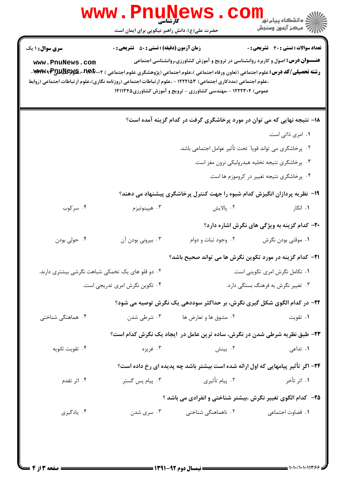|                                                           | <b>WWW . P</b><br>UIN<br>کارشناسی<br>حضرت علی(ع): دانش راهبر نیکویی برای ایمان است |                                                                                                                                                                                                                                                                                                                                                                                                                   | ر آمرڪز آزمون وسنڊش                                  |  |
|-----------------------------------------------------------|------------------------------------------------------------------------------------|-------------------------------------------------------------------------------------------------------------------------------------------------------------------------------------------------------------------------------------------------------------------------------------------------------------------------------------------------------------------------------------------------------------------|------------------------------------------------------|--|
| <b>سری سوال : ۱ یک</b><br>www.PnuNews.com                 | <b>زمان آزمون (دقیقه) : تستی : 50 ٪ تشریحی : 0</b>                                 | <b>عنـــوان درس:</b> اصول و کاربرد روانشناسی در ترویج و آموزش کشاورزی،روانشناسی اجتماعی<br><b>رشته تحصیلی/کد درس:</b> علوم اجتماعی (تعاون ورفاه اجتماعی )،علوم اجتماعی (پژوهشگری علوم اجتماعی ) <b>۱۸۴۴۰۰ MAMU و WAMW۹ P-</b><br>،علوم اجتماعی (مددکاری اجتماعی) ۱۲۲۲۱۵۳ - ،علوم ارتباطات اجتماعی (روزنامه نگاری)،علوم ارتباطات اجتماعی (روابط<br>عمومی) ۱۲۲۲۳۰۴ - ،مهندسی کشاورزی - ترویج و آموزش کشاورزی۱۴۱۱۳۴۵ | <b>تعداد سوالات : تستی : 30 ٪ تشریحی : 0</b>         |  |
|                                                           |                                                                                    | ۱۸– نتیجه نهایی که می توان در مورد پرخاشگری گرفت در کدام گزینه آمده است؟                                                                                                                                                                                                                                                                                                                                          |                                                      |  |
|                                                           |                                                                                    |                                                                                                                                                                                                                                                                                                                                                                                                                   | ۰۱ امری ذاتی است.                                    |  |
| ۰۲ پرخاشگری می تواند قویا ً تحت تأثیر عوامل اجتماعی باشد. |                                                                                    |                                                                                                                                                                                                                                                                                                                                                                                                                   |                                                      |  |
| ۰۳ پرخاشگری نتیجه تخلیه هیدرولیکی نرون مغز است.           |                                                                                    |                                                                                                                                                                                                                                                                                                                                                                                                                   |                                                      |  |
|                                                           |                                                                                    |                                                                                                                                                                                                                                                                                                                                                                                                                   | ۰۴ پرخاشگری نتیجه تغییر در کروموزم ها است.           |  |
|                                                           |                                                                                    | ۱۹- نظریه پردازان انگیزش کدام شیوه را جهت کنترل پرخاشگری پیشنهاد می دهند؟                                                                                                                                                                                                                                                                                                                                         |                                                      |  |
| ۰۴ سرکوب                                                  | ۰۳ هيپنوتيزم                                                                       | ۰۲ پالایش                                                                                                                                                                                                                                                                                                                                                                                                         | ۰۱ انکار                                             |  |
|                                                           |                                                                                    |                                                                                                                                                                                                                                                                                                                                                                                                                   | <b>۲۰</b> - کدام گزینه به ویژگی های نگرش اشاره دارد؟ |  |
| ۰۴ حولی بودن                                              | ۰۳ بیرونی بودن آن                                                                  | ۰۲ وجود ثبات و دوام                                                                                                                                                                                                                                                                                                                                                                                               | ۰۱ موقتی بودن نگرش                                   |  |
|                                                           |                                                                                    | <b>۲۱</b> – کدام گزینه در مورد تکوین نگرش ها می تواند صحیح باشد؟                                                                                                                                                                                                                                                                                                                                                  |                                                      |  |
| ۰۲ دو قلو های یک تخمکی شباهت نگرشی بیشتری دارند.          |                                                                                    | ۰۱ تکامل نگرش امری تکوینی است.                                                                                                                                                                                                                                                                                                                                                                                    |                                                      |  |
| ۰۴ تکوین نگرش امری تدریجی است.                            |                                                                                    | ۰۳ تغییر نگرش به فرهنگ بستگی دارد.                                                                                                                                                                                                                                                                                                                                                                                |                                                      |  |
|                                                           |                                                                                    | ۲۲– در کدام الگوی شکل گیری نگرش، بر حداکثر سوددهی یک نگرش توصیه می شود؟                                                                                                                                                                                                                                                                                                                                           |                                                      |  |
| ۰۴ هماهنگی شناختی                                         | ۰۳ شرطی شدن                                                                        | ۰۲ مشوق ها و تعارض ها                                                                                                                                                                                                                                                                                                                                                                                             | ۰۱ تقويت                                             |  |
|                                                           |                                                                                    | ۲۳- طبق نظریه شرطی شدن در نگرش، ساده ترین عامل در آیجاد یک نگرش کدام است؟                                                                                                                                                                                                                                                                                                                                         |                                                      |  |
| ۰۴ تقويت ثانويه                                           | ۰۳ غريزه                                                                           | ۰۲ بینش                                                                                                                                                                                                                                                                                                                                                                                                           | ۰۱ تداعی                                             |  |
|                                                           |                                                                                    | ۲۴- اگر تأثیر پیامهایی که اول ارائه شده است بیشتر باشد چه پدیده ای رخ داده است؟                                                                                                                                                                                                                                                                                                                                   |                                                      |  |
| ۰۴ اثر تقدم                                               | ۰۳ پیام پس گستر                                                                    | ۰۲ پیام تأثیری                                                                                                                                                                                                                                                                                                                                                                                                    | ۱. اثر تأخر                                          |  |
|                                                           |                                                                                    | ۲۵- کدام الگوی تغییر نگرش ،بیشتر شناختی و انفرادی می باشد ؟                                                                                                                                                                                                                                                                                                                                                       |                                                      |  |
|                                                           |                                                                                    |                                                                                                                                                                                                                                                                                                                                                                                                                   |                                                      |  |